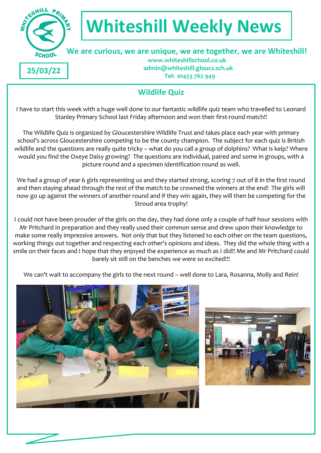

# **Whiteshill Weekly News**

# **We are curious, we are unique, we are together, we are Whiteshill!**

**25/03/22**

 **www.whiteshillschool.co.uk admin@whiteshill.gloucs.sch.uk Tel: 01453 762 949**

## **Wildlife Quiz**

I have to start this week with a huge well done to our fantastic wildlife quiz team who travelled to Leonard Stanley Primary School last Friday afternoon and won their first-round match!!

The Wildlife Quiz is organized by Gloucestershire Wildlife Trust and takes place each year with primary school's across Gloucestershire competing to be the county champion. The subject for each quiz is British wildlife and the questions are really quite tricky – what do you call a group of dolphins? What is kelp? Where would you find the Oxeye Daisy growing? The questions are individual, paired and some in groups, with a picture round and a specimen identification round as well.

We had a group of year 6 girls representing us and they started strong, scoring 7 out of 8 in the first round and then staying ahead through the rest of the match to be crowned the winners at the end! The girls will now go up against the winners of another round and if they win again, they will then be competing for the Stroud area trophy!

I could not have been prouder of the girls on the day, they had done only a couple of half hour sessions with Mr Pritchard in preparation and they really used their common sense and drew upon their knowledge to make some really impressive answers. Not only that but they listened to each other on the team questions, working things out together and respecting each other's opinions and ideas. They did the whole thing with a smile on their faces and I hope that they enjoyed the experience as much as I did!! Me and Mr Pritchard could barely sit still on the benches we were so excited!!!

We can't wait to accompany the girls to the next round – well done to Lara, Rosanna, Molly and Rein!



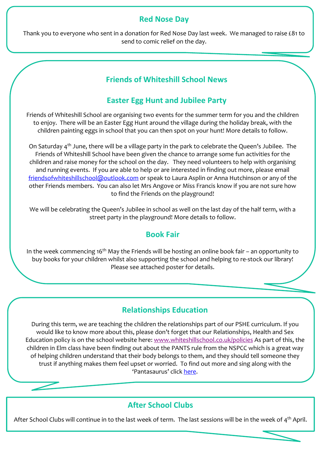#### **Red Nose Day**

Thank you to everyone who sent in a donation for Red Nose Day last week. We managed to raise £81 to send to comic relief on the day.

## **Friends of Whiteshill School News**

## **Easter Egg Hunt and Jubilee Party**

Friends of Whiteshill School are organising two events for the summer term for you and the children to enjoy. There will be an Easter Egg Hunt around the village during the holiday break, with the children painting eggs in school that you can then spot on your hunt! More details to follow.

On Saturday 4th June, there will be a village party in the park to celebrate the Queen's Jubilee. The Friends of Whiteshill School have been given the chance to arrange some fun activities for the children and raise money for the school on the day. They need volunteers to help with organising and running events. If you are able to help or are interested in finding out more, please email [friendsofwhiteshillschool@outlook.com](mailto:friendsofwhiteshillschool@outlook.com) or speak to Laura Asplin or Anna Hutchinson or any of the other Friends members. You can also let Mrs Angove or Miss Francis know if you are not sure how to find the Friends on the playground!

We will be celebrating the Queen's Jubilee in school as well on the last day of the half term, with a street party in the playground! More details to follow.

### **Book Fair**

In the week commencing 16<sup>th</sup> May the Friends will be hosting an online book fair – an opportunity to buy books for your children whilst also supporting the school and helping to re-stock our library! Please see attached poster for details.

### **Relationships Education**

During this term, we are teaching the children the relationships part of our PSHE curriculum. If you would like to know more about this, please don't forget that our Relationships, Health and Sex Education policy is on the school website here[: www.whiteshillschool.co.uk/policies](http://www.whiteshillschool.co.uk/policies) As part of this, the children in Elm class have been finding out about the PANTS rule from the NSPCC which is a great way of helping children understand that their body belongs to them, and they should tell someone they trust if anything makes them feel upset or worried. To find out more and sing along with the 'Pantasaurus' click [here.](https://www.nspcc.org.uk/keeping-children-safe/support-for-parents/pants-underwear-rule/)

### **After School Clubs**

After School Clubs will continue in to the last week of term. The last sessions will be in the week of  $4<sup>th</sup>$  April.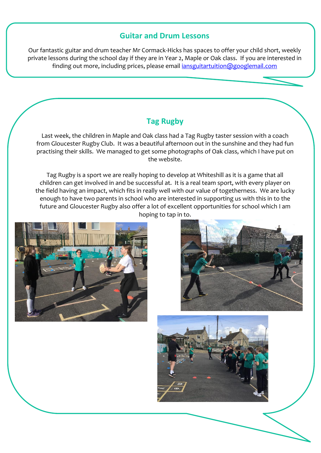#### **Guitar and Drum Lessons**

Our fantastic guitar and drum teacher Mr Cormack-Hicks has spaces to offer your child short, weekly private lessons during the school day if they are in Year 2, Maple or Oak class. If you are interested in finding out more, including prices, please email *iansguitartuition@googlemail.com* 

## **Tag Rugby**

Last week, the children in Maple and Oak class had a Tag Rugby taster session with a coach from Gloucester Rugby Club. It was a beautiful afternoon out in the sunshine and they had fun practising their skills. We managed to get some photographs of Oak class, which I have put on the website.

Tag Rugby is a sport we are really hoping to develop at Whiteshill as it is a game that all children can get involved in and be successful at. It is a real team sport, with every player on the field having an impact, which fits in really well with our value of togetherness. We are lucky enough to have two parents in school who are interested in supporting us with this in to the future and Gloucester Rugby also offer a lot of excellent opportunities for school which I am hoping to tap in to.